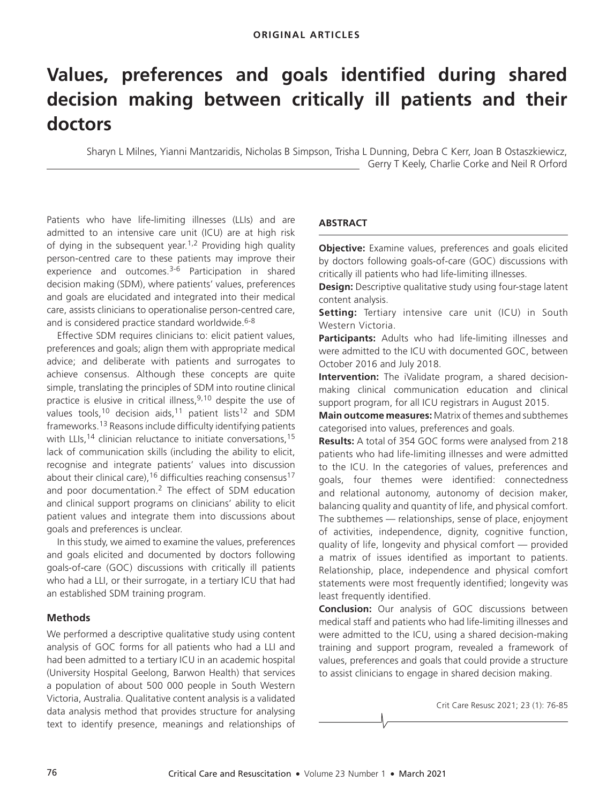# **Values, preferences and goals identified during shared decision making between critically ill patients and their doctors**

Sharyn L Milnes, Yianni Mantzaridis, Nicholas B Simpson, Trisha L Dunning, Debra C Kerr, Joan B Ostaszkiewicz, Gerry T Keely, Charlie Corke and Neil R Orford

Patients who have life-limiting illnesses (LLIs) and are admitted to an intensive care unit (ICU) are at high risk of dying in the subsequent year.<sup>1,2</sup> Providing high quality person-centred care to these patients may improve their experience and outcomes.<sup>3-6</sup> Participation in shared decision making (SDM), where patients' values, preferences and goals are elucidated and integrated into their medical care, assists clinicians to operationalise person-centred care, and is considered practice standard worldwide.<sup>6-8</sup>

Effective SDM requires clinicians to: elicit patient values, preferences and goals; align them with appropriate medical advice; and deliberate with patients and surrogates to achieve consensus. Although these concepts are quite simple, translating the principles of SDM into routine clinical practice is elusive in critical illness,  $9,10$  despite the use of values tools,<sup>10</sup> decision aids,<sup>11</sup> patient lists<sup>12</sup> and SDM frameworks.13 Reasons include difficulty identifying patients with LLIs,<sup>14</sup> clinician reluctance to initiate conversations,<sup>15</sup> lack of communication skills (including the ability to elicit, recognise and integrate patients' values into discussion about their clinical care),<sup>16</sup> difficulties reaching consensus<sup>17</sup> and poor documentation.2 The effect of SDM education and clinical support programs on clinicians' ability to elicit patient values and integrate them into discussions about goals and preferences is unclear.

In this study, we aimed to examine the values, preferences and goals elicited and documented by doctors following goals-of-care (GOC) discussions with critically ill patients who had a LLI, or their surrogate, in a tertiary ICU that had an established SDM training program.

# **Methods**

We performed a descriptive qualitative study using content analysis of GOC forms for all patients who had a LLI and had been admitted to a tertiary ICU in an academic hospital (University Hospital Geelong, Barwon Health) that services a population of about 500 000 people in South Western Victoria, Australia. Qualitative content analysis is a validated data analysis method that provides structure for analysing text to identify presence, meanings and relationships of

# **ABSTRACT**

**Objective:** Examine values, preferences and goals elicited by doctors following goals-of-care (GOC) discussions with critically ill patients who had life-limiting illnesses.

**Design:** Descriptive qualitative study using four-stage latent content analysis.

**Setting:** Tertiary intensive care unit (ICU) in South Western Victoria.

**Participants:** Adults who had life-limiting illnesses and were admitted to the ICU with documented GOC, between October 2016 and July 2018.

**Intervention:** The iValidate program, a shared decisionmaking clinical communication education and clinical support program, for all ICU registrars in August 2015.

**Main outcome measures:** Matrix of themes and subthemes categorised into values, preferences and goals.

**Results:** A total of 354 GOC forms were analysed from 218 patients who had life-limiting illnesses and were admitted to the ICU. In the categories of values, preferences and goals, four themes were identified: connectedness and relational autonomy, autonomy of decision maker, balancing quality and quantity of life, and physical comfort. The subthemes — relationships, sense of place, enjoyment of activities, independence, dignity, cognitive function, quality of life, longevity and physical comfort — provided a matrix of issues identified as important to patients. Relationship, place, independence and physical comfort statements were most frequently identified; longevity was least frequently identified.

**Conclusion:** Our analysis of GOC discussions between medical staff and patients who had life-limiting illnesses and were admitted to the ICU, using a shared decision-making training and support program, revealed a framework of values, preferences and goals that could provide a structure to assist clinicians to engage in shared decision making.

Crit Care Resusc 2021; 23 (1): 76-85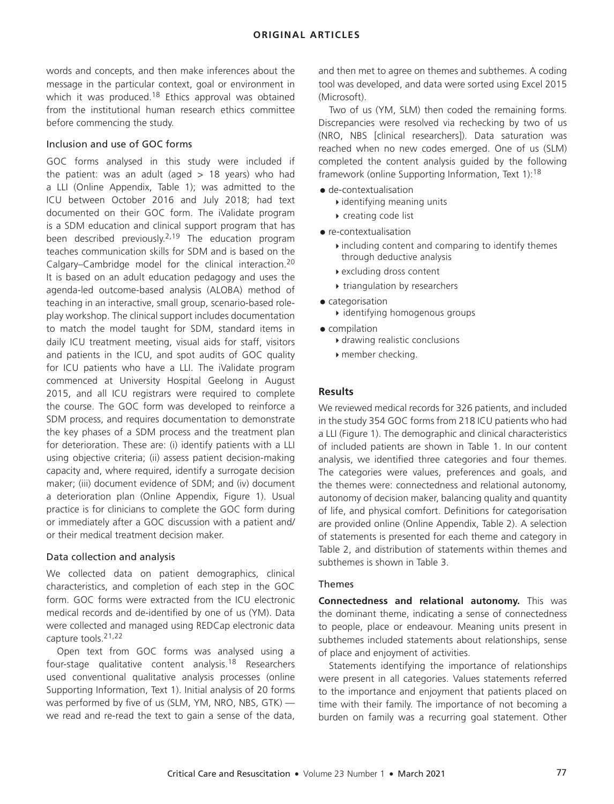words and concepts, and then make inferences about the message in the particular context, goal or environment in which it was produced.<sup>18</sup> Ethics approval was obtained from the institutional human research ethics committee before commencing the study.

## Inclusion and use of GOC forms

GOC forms analysed in this study were included if the patient: was an adult (aged  $> 18$  years) who had a LLI (Online Appendix, Table 1); was admitted to the ICU between October 2016 and July 2018; had text documented on their GOC form. The iValidate program is a SDM education and clinical support program that has been described previously.<sup>2,19</sup> The education program teaches communication skills for SDM and is based on the Calgary–Cambridge model for the clinical interaction.<sup>20</sup> It is based on an adult education pedagogy and uses the agenda-led outcome-based analysis (ALOBA) method of teaching in an interactive, small group, scenario-based roleplay workshop. The clinical support includes documentation to match the model taught for SDM, standard items in daily ICU treatment meeting, visual aids for staff, visitors and patients in the ICU, and spot audits of GOC quality for ICU patients who have a LLI. The iValidate program commenced at University Hospital Geelong in August 2015, and all ICU registrars were required to complete the course. The GOC form was developed to reinforce a SDM process, and requires documentation to demonstrate the key phases of a SDM process and the treatment plan for deterioration. These are: (i) identify patients with a LLI using objective criteria; (ii) assess patient decision-making capacity and, where required, identify a surrogate decision maker; (iii) document evidence of SDM; and (iv) document a deterioration plan (Online Appendix, Figure 1). Usual practice is for clinicians to complete the GOC form during or immediately after a GOC discussion with a patient and/ or their medical treatment decision maker.

#### Data collection and analysis

We collected data on patient demographics, clinical characteristics, and completion of each step in the GOC form. GOC forms were extracted from the ICU electronic medical records and de-identified by one of us (YM). Data were collected and managed using REDCap electronic data capture tools.21,22

Open text from GOC forms was analysed using a four-stage qualitative content analysis.18 Researchers used conventional qualitative analysis processes (online Supporting Information, Text 1). Initial analysis of 20 forms was performed by five of us (SLM, YM, NRO, NBS, GTK) we read and re-read the text to gain a sense of the data, and then met to agree on themes and subthemes. A coding tool was developed, and data were sorted using Excel 2015 (Microsoft).

Two of us (YM, SLM) then coded the remaining forms. Discrepancies were resolved via rechecking by two of us (NRO, NBS [clinical researchers]). Data saturation was reached when no new codes emerged. One of us (SLM) completed the content analysis guided by the following framework (online Supporting Information, Text 1):<sup>18</sup>

- de-contextualisation
	- identifying meaning units
	- creating code list
- re-contextualisation
	- $\blacktriangleright$  including content and comparing to identify themes through deductive analysis
	- excluding dross content
	- $\rightarrow$  triangulation by researchers
- categorisation
	- $\rightarrow$  identifying homogenous groups
- compilation
	- drawing realistic conclusions
	- member checking.

## **Results**

We reviewed medical records for 326 patients, and included in the study 354 GOC forms from 218 ICU patients who had a LLI (Figure 1). The demographic and clinical characteristics of included patients are shown in Table 1. In our content analysis, we identified three categories and four themes. The categories were values, preferences and goals, and the themes were: connectedness and relational autonomy, autonomy of decision maker, balancing quality and quantity of life, and physical comfort. Definitions for categorisation are provided online (Online Appendix, Table 2). A selection of statements is presented for each theme and category in Table 2, and distribution of statements within themes and subthemes is shown in Table 3.

#### Themes

**Connectedness and relational autonomy.** This was the dominant theme, indicating a sense of connectedness to people, place or endeavour. Meaning units present in subthemes included statements about relationships, sense of place and enjoyment of activities.

Statements identifying the importance of relationships were present in all categories. Values statements referred to the importance and enjoyment that patients placed on time with their family. The importance of not becoming a burden on family was a recurring goal statement. Other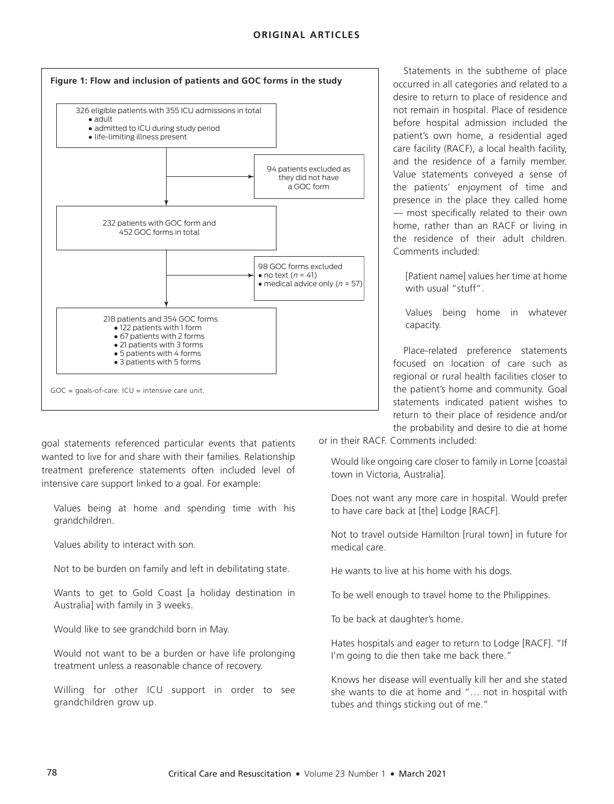

desire to return to place of residence and not remain in hospital. Place of residence before hospital admission included the patient's own home, a residential aged care facility (RACF), a local health facility, and the residence of a family member. Value statements conveyed a sense of the patients' enjoyment of time and presence in the place they called home — most specifically related to their own home, rather than an RACF or living in the residence of their adult children. Comments included:

Statements in the subtheme of place occurred in all categories and related to a

[Patient name] values her time at home with usual "stuff".

Values being home in whatever capacity.

Place-related preference statements focused on location of care such as regional or rural health facilities closer to the patient's home and community. Goal statements indicated patient wishes to return to their place of residence and/or the probability and desire to die at home

goal statements referenced particular events that patients wanted to live for and share with their families. Relationship treatment preference statements often included level of intensive care support linked to a goal. For example:

Values being at home and spending time with his grandchildren.

Values ability to interact with son.

Not to be burden on family and left in debilitating state.

Wants to get to Gold Coast [a holiday destination in Australia] with family in 3 weeks.

Would like to see grandchild born in May.

Would not want to be a burden or have life prolonging treatment unless a reasonable chance of recovery.

Willing for other ICU support in order to see grandchildren grow up.

or in their RACF. Comments included:

Would like ongoing care closer to family in Lorne [coastal town in Victoria, Australia].

Does not want any more care in hospital. Would prefer to have care back at [the] Lodge [RACF].

Not to travel outside Hamilton [rural town] in future for medical care.

He wants to live at his home with his dogs.

To be well enough to travel home to the Philippines.

To be back at daughter's home.

Hates hospitals and eager to return to Lodge [RACF]. "If I'm going to die then take me back there."

Knows her disease will eventually kill her and she stated she wants to die at home and "… not in hospital with tubes and things sticking out of me."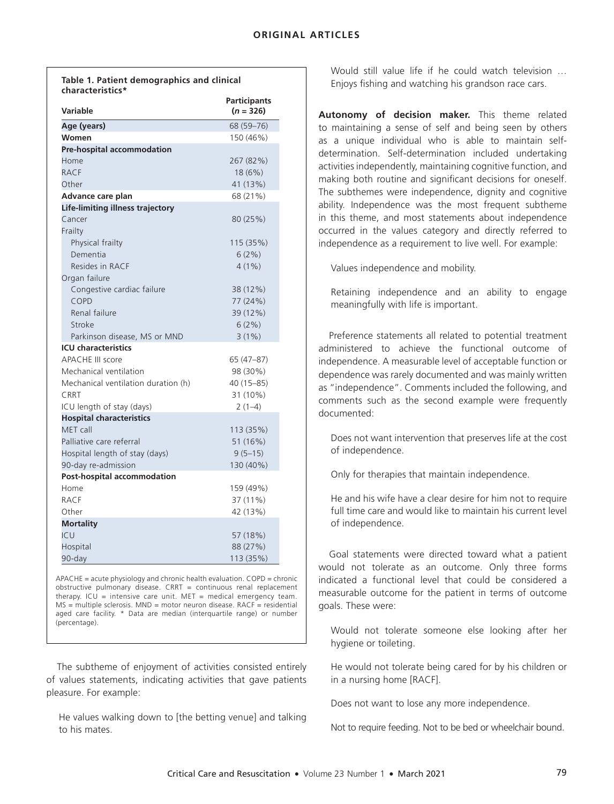**Table 1. Patient demographics and clinical characteristics\***

| Variable                            | <b>Participants</b><br>$(n = 326)$ |
|-------------------------------------|------------------------------------|
| Age (years)                         | 68 (59-76)                         |
| Women                               | 150 (46%)                          |
| Pre-hospital accommodation          |                                    |
| Home                                | 267 (82%)                          |
| <b>RACF</b>                         | 18 (6%)                            |
| Other                               | 41 (13%)                           |
| Advance care plan                   | 68 (21%)                           |
| Life-limiting illness trajectory    |                                    |
| Cancer                              | 80 (25%)                           |
| Frailty                             |                                    |
| Physical frailty                    | 115 (35%)                          |
| Dementia                            | 6(2%)                              |
| Resides in RACF                     | $4(1\%)$                           |
| Organ failure                       |                                    |
| Congestive cardiac failure          | 38 (12%)                           |
| COPD                                | 77 (24%)                           |
| Renal failure                       | 39 (12%)                           |
| Stroke                              | 6(2%)                              |
| Parkinson disease, MS or MND        | 3(1%)                              |
| <b>ICU</b> characteristics          |                                    |
| <b>APACHE III score</b>             | 65 (47-87)                         |
| Mechanical ventilation              | 98 (30%)                           |
| Mechanical ventilation duration (h) | 40 (15-85)                         |
| CRRT                                | 31 (10%)                           |
| ICU length of stay (days)           | $2(1-4)$                           |
| <b>Hospital characteristics</b>     |                                    |
| MET call                            | 113 (35%)                          |
| Palliative care referral            | 51 (16%)                           |
| Hospital length of stay (days)      | $9(5-15)$                          |
| 90-day re-admission                 | 130 (40%)                          |
| Post-hospital accommodation         |                                    |
| Home                                | 159 (49%)                          |
| RACF                                | 37 (11%)                           |
| Other                               | 42 (13%)                           |
| <b>Mortality</b>                    |                                    |
| ICU                                 | 57 (18%)                           |
| Hospital                            | 88 (27%)                           |
| 90-day                              | 113 (35%)                          |

APACHE = acute physiology and chronic health evaluation. COPD = chronic obstructive pulmonary disease.  $CRRT =$  continuous renal replacement therapy. ICU = intensive care unit. MET = medical emergency team.  $MS =$  multiple sclerosis. MND = motor neuron disease. RACF = residential aged care facility. \* Data are median (interquartile range) or number (percentage).

The subtheme of enjoyment of activities consisted entirely of values statements, indicating activities that gave patients pleasure. For example:

He values walking down to [the betting venue] and talking to his mates.

Would still value life if he could watch television … Enjoys fishing and watching his grandson race cars.

**Autonomy of decision maker.** This theme related to maintaining a sense of self and being seen by others as a unique individual who is able to maintain selfdetermination. Self-determination included undertaking activities independently, maintaining cognitive function, and making both routine and significant decisions for oneself. The subthemes were independence, dignity and cognitive ability. Independence was the most frequent subtheme in this theme, and most statements about independence occurred in the values category and directly referred to independence as a requirement to live well. For example:

Values independence and mobility.

Retaining independence and an ability to engage meaningfully with life is important.

Preference statements all related to potential treatment administered to achieve the functional outcome of independence. A measurable level of acceptable function or dependence was rarely documented and was mainly written as "independence". Comments included the following, and comments such as the second example were frequently documented:

Does not want intervention that preserves life at the cost of independence.

Only for therapies that maintain independence.

He and his wife have a clear desire for him not to require full time care and would like to maintain his current level of independence.

Goal statements were directed toward what a patient would not tolerate as an outcome. Only three forms indicated a functional level that could be considered a measurable outcome for the patient in terms of outcome goals. These were:

Would not tolerate someone else looking after her hygiene or toileting.

He would not tolerate being cared for by his children or in a nursing home [RACF].

Does not want to lose any more independence.

Not to require feeding. Not to be bed or wheelchair bound.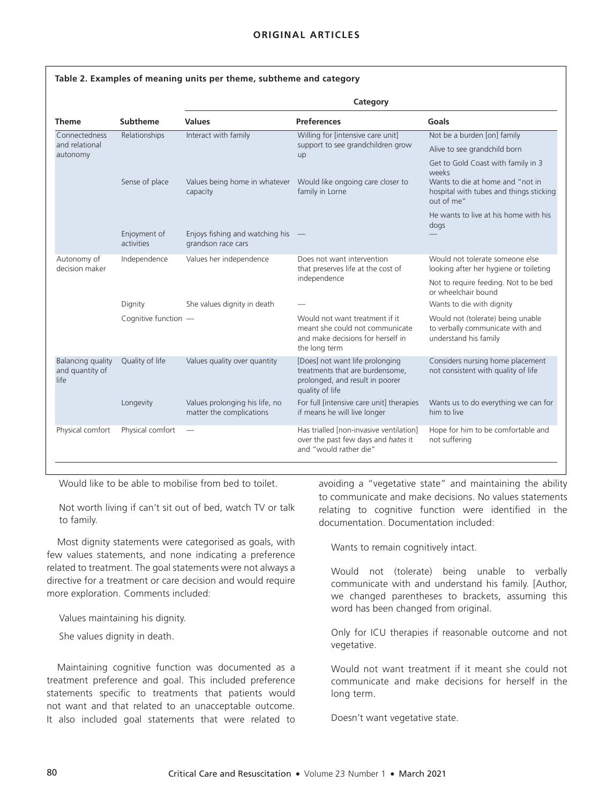|                                              |                                         | Category                                                         |                                                                                                                          |                                                                                                                                          |  |
|----------------------------------------------|-----------------------------------------|------------------------------------------------------------------|--------------------------------------------------------------------------------------------------------------------------|------------------------------------------------------------------------------------------------------------------------------------------|--|
| <b>Theme</b>                                 | Subtheme                                | <b>Values</b>                                                    | <b>Preferences</b>                                                                                                       | Goals                                                                                                                                    |  |
| Connectedness<br>and relational<br>autonomy  | Relationships                           | Interact with family<br>capacity                                 | Willing for [intensive care unit]<br>support to see grandchildren grow<br>up                                             | Not be a burden [on] family                                                                                                              |  |
|                                              |                                         |                                                                  |                                                                                                                          | Alive to see grandchild born                                                                                                             |  |
|                                              | Sense of place                          |                                                                  | Values being home in whatever  Would like ongoing care closer to<br>family in Lorne                                      | Get to Gold Coast with family in 3<br>weeks<br>Wants to die at home and "not in<br>hospital with tubes and things sticking<br>out of me" |  |
|                                              | Enjoyment of<br>activities              | Enjoys fishing and watching his<br>grandson race cars            |                                                                                                                          | He wants to live at his home with his<br>dogs                                                                                            |  |
| Autonomy of<br>decision maker                | Independence<br>Values her independence | Does not want intervention<br>that preserves life at the cost of | Would not tolerate someone else<br>looking after her hygiene or toileting                                                |                                                                                                                                          |  |
|                                              |                                         |                                                                  | independence                                                                                                             | Not to require feeding. Not to be bed<br>or wheelchair bound                                                                             |  |
|                                              | Dignity                                 | She values dignity in death                                      |                                                                                                                          | Wants to die with dignity                                                                                                                |  |
|                                              | Cognitive function -                    |                                                                  | Would not want treatment if it<br>meant she could not communicate<br>and make decisions for herself in<br>the long term  | Would not (tolerate) being unable<br>to verbally communicate with and<br>understand his family                                           |  |
| Balancing quality<br>and quantity of<br>life | Quality of life                         | Values quality over quantity                                     | [Does] not want life prolonging<br>treatments that are burdensome,<br>prolonged, and result in poorer<br>quality of life | Considers nursing home placement<br>not consistent with quality of life                                                                  |  |
|                                              | Longevity                               | Values prolonging his life, no<br>matter the complications       | For full [intensive care unit] therapies<br>if means he will live longer                                                 | Wants us to do everything we can for<br>him to live                                                                                      |  |
| Physical comfort                             | Physical comfort                        |                                                                  | Has trialled Inon-invasive ventilation]<br>over the past few days and hates it<br>and "would rather die"                 | Hope for him to be comfortable and<br>not suffering                                                                                      |  |

Would like to be able to mobilise from bed to toilet.

Not worth living if can't sit out of bed, watch TV or talk to family.

Most dignity statements were categorised as goals, with few values statements, and none indicating a preference related to treatment. The goal statements were not always a directive for a treatment or care decision and would require more exploration. Comments included:

Values maintaining his dignity.

She values dignity in death.

Maintaining cognitive function was documented as a treatment preference and goal. This included preference statements specific to treatments that patients would not want and that related to an unacceptable outcome. It also included goal statements that were related to avoiding a "vegetative state" and maintaining the ability to communicate and make decisions. No values statements relating to cognitive function were identified in the documentation. Documentation included:

Wants to remain cognitively intact.

Would not (tolerate) being unable to verbally communicate with and understand his family. [Author, we changed parentheses to brackets, assuming this word has been changed from original.

Only for ICU therapies if reasonable outcome and not vegetative.

Would not want treatment if it meant she could not communicate and make decisions for herself in the long term.

Doesn't want vegetative state.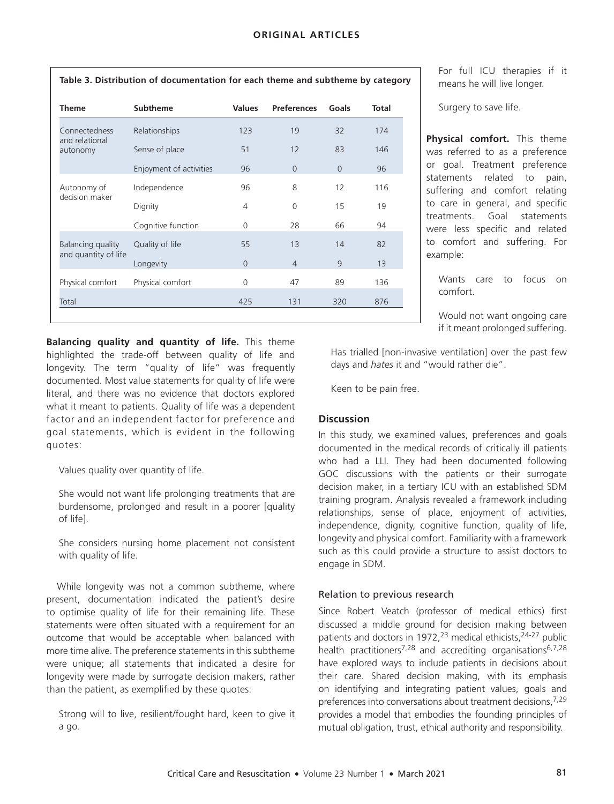| <b>Theme</b>                                | <b>Subtheme</b>         | <b>Values</b>  | <b>Preferences</b> | Goals    | <b>Total</b> |
|---------------------------------------------|-------------------------|----------------|--------------------|----------|--------------|
| Connectedness<br>and relational<br>autonomy | Relationships           | 123            | 19                 | 32       | 174          |
|                                             | Sense of place          | 51             | 12                 | 83       | 146          |
|                                             | Enjoyment of activities | 96             | $\Omega$           | $\Omega$ | 96           |
| Autonomy of<br>decision maker               | Independence            | 96             | 8                  | 12       | 116          |
|                                             | Dignity                 | 4              | $\Omega$           | 15       | 19           |
|                                             | Cognitive function      | $\Omega$       | 28                 | 66       | 94           |
| Balancing quality<br>and quantity of life   | Quality of life         | 55             | 13                 | 14       | 82           |
|                                             | Longevity               | $\overline{0}$ | $\overline{4}$     | 9        | 13           |
| Physical comfort                            | Physical comfort        | 0              | 47                 | 89       | 136          |
| Total                                       |                         | 425            | 131                | 320      | 876          |
|                                             |                         |                |                    |          |              |

**Table 3. Distribution of documentation for each theme and subtheme by category**

**Balancing quality and quantity of life.** This theme highlighted the trade-off between quality of life and longevity. The term "quality of life" was frequently documented. Most value statements for quality of life were literal, and there was no evidence that doctors explored what it meant to patients. Quality of life was a dependent factor and an independent factor for preference and goal statements, which is evident in the following quotes:

Values quality over quantity of life.

She would not want life prolonging treatments that are burdensome, prolonged and result in a poorer [quality of life].

She considers nursing home placement not consistent with quality of life.

While longevity was not a common subtheme, where present, documentation indicated the patient's desire to optimise quality of life for their remaining life. These statements were often situated with a requirement for an outcome that would be acceptable when balanced with more time alive. The preference statements in this subtheme were unique; all statements that indicated a desire for longevity were made by surrogate decision makers, rather than the patient, as exemplified by these quotes:

Strong will to live, resilient/fought hard, keen to give it a go.

For full ICU therapies if it means he will live longer.

Surgery to save life.

**Physical comfort.** This theme was referred to as a preference or goal. Treatment preference statements related to pain, suffering and comfort relating to care in general, and specific treatments. Goal statements were less specific and related to comfort and suffering. For example:

Wants care to focus on comfort.

Would not want ongoing care if it meant prolonged suffering.

Has trialled [non-invasive ventilation] over the past few days and *hates* it and "would rather die".

Keen to be pain free.

# **Discussion**

In this study, we examined values, preferences and goals documented in the medical records of critically ill patients who had a LLI. They had been documented following GOC discussions with the patients or their surrogate decision maker, in a tertiary ICU with an established SDM training program. Analysis revealed a framework including relationships, sense of place, enjoyment of activities, independence, dignity, cognitive function, quality of life, longevity and physical comfort. Familiarity with a framework such as this could provide a structure to assist doctors to engage in SDM.

# Relation to previous research

Since Robert Veatch (professor of medical ethics) first discussed a middle ground for decision making between patients and doctors in 1972,<sup>23</sup> medical ethicists, $24-27$  public health practitioners<sup>7,28</sup> and accrediting organisations<sup>6,7,28</sup> have explored ways to include patients in decisions about their care. Shared decision making, with its emphasis on identifying and integrating patient values, goals and preferences into conversations about treatment decisions, 7,29 provides a model that embodies the founding principles of mutual obligation, trust, ethical authority and responsibility.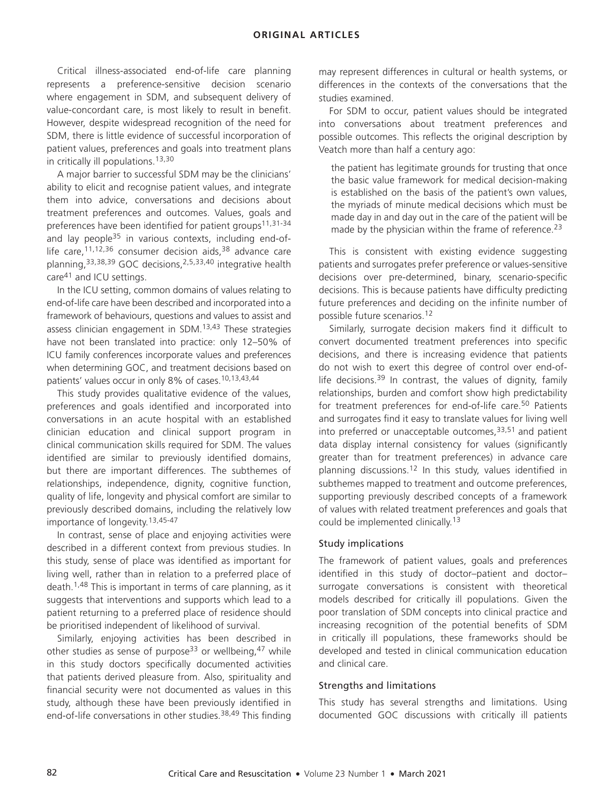# **ORIGINAL ARTICLES**

Critical illness-associated end-of-life care planning represents a preference-sensitive decision scenario where engagement in SDM, and subsequent delivery of value-concordant care, is most likely to result in benefit. However, despite widespread recognition of the need for SDM, there is little evidence of successful incorporation of patient values, preferences and goals into treatment plans in critically ill populations.<sup>13,30</sup>

A major barrier to successful SDM may be the clinicians' ability to elicit and recognise patient values, and integrate them into advice, conversations and decisions about treatment preferences and outcomes. Values, goals and preferences have been identified for patient groups<sup>11,31-34</sup> and lay people<sup>35</sup> in various contexts, including end-oflife care,  $11,12,36$  consumer decision aids,  $38$  advance care planning, <sup>33,38,39</sup> GOC decisions, <sup>2,5,33,40</sup> integrative health care41 and ICU settings.

In the ICU setting, common domains of values relating to end-of-life care have been described and incorporated into a framework of behaviours, questions and values to assist and assess clinician engagement in SDM.<sup>13,43</sup> These strategies have not been translated into practice: only 12–50% of ICU family conferences incorporate values and preferences when determining GOC, and treatment decisions based on patients' values occur in only 8% of cases.10,13,43,44

This study provides qualitative evidence of the values, preferences and goals identified and incorporated into conversations in an acute hospital with an established clinician education and clinical support program in clinical communication skills required for SDM. The values identified are similar to previously identified domains, but there are important differences. The subthemes of relationships, independence, dignity, cognitive function, quality of life, longevity and physical comfort are similar to previously described domains, including the relatively low importance of longevity.13,45-47

In contrast, sense of place and enjoying activities were described in a different context from previous studies. In this study, sense of place was identified as important for living well, rather than in relation to a preferred place of death.1,48 This is important in terms of care planning, as it suggests that interventions and supports which lead to a patient returning to a preferred place of residence should be prioritised independent of likelihood of survival.

Similarly, enjoying activities has been described in other studies as sense of purpose<sup>33</sup> or wellbeing.<sup>47</sup> while in this study doctors specifically documented activities that patients derived pleasure from. Also, spirituality and financial security were not documented as values in this study, although these have been previously identified in end-of-life conversations in other studies.<sup>38,49</sup> This finding may represent differences in cultural or health systems, or differences in the contexts of the conversations that the studies examined.

For SDM to occur, patient values should be integrated into conversations about treatment preferences and possible outcomes. This reflects the original description by Veatch more than half a century ago:

the patient has legitimate grounds for trusting that once the basic value framework for medical decision-making is established on the basis of the patient's own values, the myriads of minute medical decisions which must be made day in and day out in the care of the patient will be made by the physician within the frame of reference.<sup>23</sup>

This is consistent with existing evidence suggesting patients and surrogates prefer preference or values-sensitive decisions over pre-determined, binary, scenario-specific decisions. This is because patients have difficulty predicting future preferences and deciding on the infinite number of possible future scenarios.<sup>12</sup>

Similarly, surrogate decision makers find it difficult to convert documented treatment preferences into specific decisions, and there is increasing evidence that patients do not wish to exert this degree of control over end-oflife decisions.<sup>39</sup> In contrast, the values of dignity, family relationships, burden and comfort show high predictability for treatment preferences for end-of-life care.<sup>50</sup> Patients and surrogates find it easy to translate values for living well into preferred or unacceptable outcomes, $33,51$  and patient data display internal consistency for values (significantly greater than for treatment preferences) in advance care planning discussions.12 In this study, values identified in subthemes mapped to treatment and outcome preferences, supporting previously described concepts of a framework of values with related treatment preferences and goals that could be implemented clinically.<sup>13</sup>

# Study implications

The framework of patient values, goals and preferences identified in this study of doctor–patient and doctor– surrogate conversations is consistent with theoretical models described for critically ill populations. Given the poor translation of SDM concepts into clinical practice and increasing recognition of the potential benefits of SDM in critically ill populations, these frameworks should be developed and tested in clinical communication education and clinical care.

# Strengths and limitations

This study has several strengths and limitations. Using documented GOC discussions with critically ill patients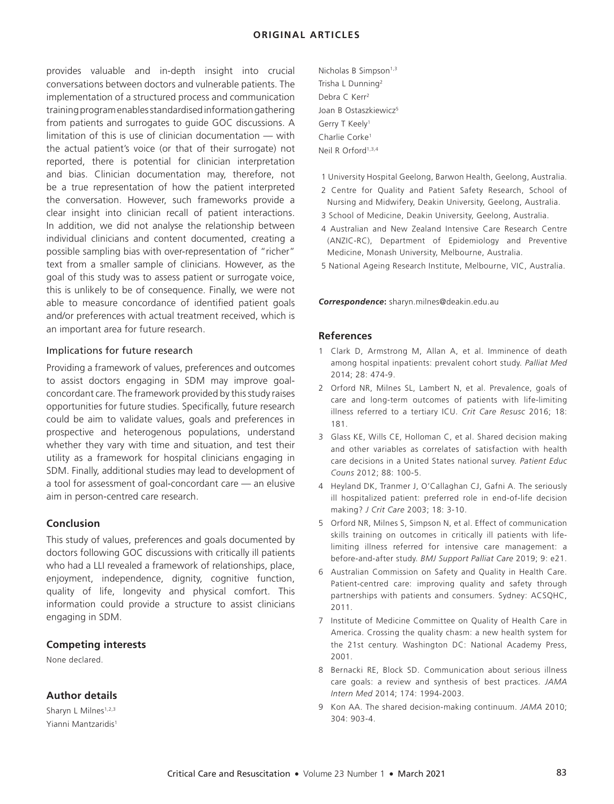# **ORIGINAL ARTICLES**

provides valuable and in-depth insight into crucial conversations between doctors and vulnerable patients. The implementation of a structured process and communication training program enables standardised information gathering from patients and surrogates to guide GOC discussions. A limitation of this is use of clinician documentation — with the actual patient's voice (or that of their surrogate) not reported, there is potential for clinician interpretation and bias. Clinician documentation may, therefore, not be a true representation of how the patient interpreted the conversation. However, such frameworks provide a clear insight into clinician recall of patient interactions. In addition, we did not analyse the relationship between individual clinicians and content documented, creating a possible sampling bias with over-representation of "richer" text from a smaller sample of clinicians. However, as the goal of this study was to assess patient or surrogate voice, this is unlikely to be of consequence. Finally, we were not able to measure concordance of identified patient goals and/or preferences with actual treatment received, which is an important area for future research.

#### Implications for future research

Providing a framework of values, preferences and outcomes to assist doctors engaging in SDM may improve goalconcordant care. The framework provided by this study raises opportunities for future studies. Specifically, future research could be aim to validate values, goals and preferences in prospective and heterogenous populations, understand whether they vary with time and situation, and test their utility as a framework for hospital clinicians engaging in SDM. Finally, additional studies may lead to development of a tool for assessment of goal-concordant care — an elusive aim in person-centred care research.

# **Conclusion**

This study of values, preferences and goals documented by doctors following GOC discussions with critically ill patients who had a LLI revealed a framework of relationships, place, enjoyment, independence, dignity, cognitive function, quality of life, longevity and physical comfort. This information could provide a structure to assist clinicians engaging in SDM.

# **Competing interests**

None declared.

# **Author details**

Sharyn L Milnes<sup>1,2,3</sup> Yianni Mantzaridis<sup>1</sup> Nicholas B Simpson<sup>1,3</sup> Trisha L Dunning2 Debra C Kerr2 Joan B Ostaszkiewicz<sup>5</sup> Gerry T Keely1 Charlie Corke1 Neil R Orford1,3,4

- 1 University Hospital Geelong, Barwon Health, Geelong, Australia.
- 2 Centre for Quality and Patient Safety Research, School of Nursing and Midwifery, Deakin University, Geelong, Australia.
- 3 School of Medicine, Deakin University, Geelong, Australia.
- 4 Australian and New Zealand Intensive Care Research Centre (ANZIC-RC), Department of Epidemiology and Preventive Medicine, Monash University, Melbourne, Australia.
- 5 National Ageing Research Institute, Melbourne, VIC, Australia.

*Correspondence***:** sharyn.milnes@deakin.edu.au

#### **References**

- 1 Clark D, Armstrong M, Allan A, et al. Imminence of death among hospital inpatients: prevalent cohort study. *Palliat Med* 2014; 28: 474-9.
- 2 Orford NR, Milnes SL, Lambert N, et al. Prevalence, goals of care and long-term outcomes of patients with life-limiting illness referred to a tertiary ICU. *Crit Care Resusc* 2016; 18: 181.
- 3 Glass KE, Wills CE, Holloman C, et al. Shared decision making and other variables as correlates of satisfaction with health care decisions in a United States national survey. *Patient Educ Couns* 2012; 88: 100-5.
- 4 Heyland DK, Tranmer J, O'Callaghan CJ, Gafni A. The seriously ill hospitalized patient: preferred role in end-of-life decision making? *J Crit Care* 2003; 18: 3-10.
- 5 Orford NR, Milnes S, Simpson N, et al. Effect of communication skills training on outcomes in critically ill patients with lifelimiting illness referred for intensive care management: a before-and-after study. *BMJ Support Palliat Care* 2019; 9: e21.
- 6 Australian Commission on Safety and Quality in Health Care. Patient-centred care: improving quality and safety through partnerships with patients and consumers. Sydney: ACSQHC, 2011.
- 7 Institute of Medicine Committee on Quality of Health Care in America. Crossing the quality chasm: a new health system for the 21st century. Washington DC: National Academy Press, 2001.
- 8 Bernacki RE, Block SD. Communication about serious illness care goals: a review and synthesis of best practices. *JAMA Intern Med* 2014; 174: 1994-2003.
- 9 Kon AA. The shared decision-making continuum. *JAMA* 2010; 304: 903-4.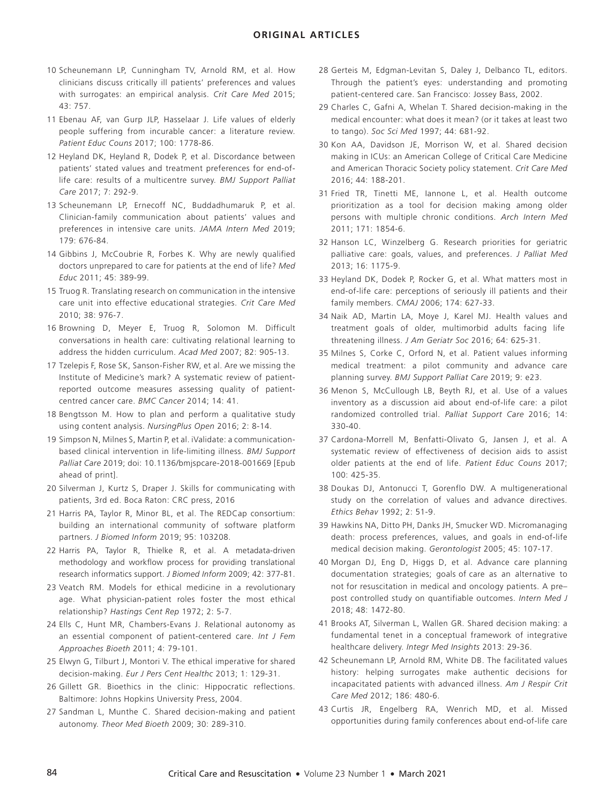- 10 Scheunemann LP, Cunningham TV, Arnold RM, et al. How clinicians discuss critically ill patients' preferences and values with surrogates: an empirical analysis. *Crit Care Med* 2015; 43: 757.
- 11 Ebenau AF, van Gurp JLP, Hasselaar J. Life values of elderly people suffering from incurable cancer: a literature review. *Patient Educ Couns* 2017; 100: 1778-86.
- 12 Heyland DK, Heyland R, Dodek P, et al. Discordance between patients' stated values and treatment preferences for end-oflife care: results of a multicentre survey. *BMJ Support Palliat Care* 2017; 7: 292-9.
- 13 Scheunemann LP, Ernecoff NC, Buddadhumaruk P, et al. Clinician-family communication about patients' values and preferences in intensive care units. *JAMA Intern Med* 2019; 179: 676-84.
- 14 Gibbins J, McCoubrie R, Forbes K. Why are newly qualified doctors unprepared to care for patients at the end of life? *Med Educ* 2011; 45: 389-99.
- 15 Truog R. Translating research on communication in the intensive care unit into effective educational strategies. *Crit Care Med* 2010; 38: 976-7.
- 16 Browning D, Meyer E, Truog R, Solomon M. Difficult conversations in health care: cultivating relational learning to address the hidden curriculum. *Acad Med* 2007; 82: 905-13.
- 17 Tzelepis F, Rose SK, Sanson-Fisher RW, et al. Are we missing the Institute of Medicine's mark? A systematic review of patientreported outcome measures assessing quality of patientcentred cancer care. *BMC Cancer* 2014; 14: 41.
- 18 Bengtsson M. How to plan and perform a qualitative study using content analysis. *NursingPlus Open* 2016; 2: 8-14.
- 19 Simpson N, Milnes S, Martin P, et al. iValidate: a communicationbased clinical intervention in life-limiting illness. *BMJ Support Palliat Care* 2019; doi: 10.1136/bmjspcare-2018-001669 [Epub ahead of print].
- 20 Silverman J, Kurtz S, Draper J. Skills for communicating with patients, 3rd ed. Boca Raton: CRC press, 2016
- 21 Harris PA, Taylor R, Minor BL, et al. The REDCap consortium: building an international community of software platform partners. *J Biomed Inform* 2019; 95: 103208.
- 22 Harris PA, Taylor R, Thielke R, et al. A metadata-driven methodology and workflow process for providing translational research informatics support. *J Biomed Inform* 2009; 42: 377-81.
- 23 Veatch RM. Models for ethical medicine in a revolutionary age. What physician-patient roles foster the most ethical relationship? *Hastings Cent Rep* 1972; 2: 5-7.
- 24 Ells C, Hunt MR, Chambers-Evans J. Relational autonomy as an essential component of patient-centered care. *Int J Fem Approaches Bioeth* 2011; 4: 79-101.
- 25 Elwyn G, Tilburt J, Montori V. The ethical imperative for shared decision-making. *Eur J Pers Cent Healthc* 2013; 1: 129-31.
- 26 Gillett GR. Bioethics in the clinic: Hippocratic reflections. Baltimore: Johns Hopkins University Press, 2004.
- 27 Sandman L, Munthe C. Shared decision-making and patient autonomy. *Theor Med Bioeth* 2009; 30: 289-310.
- 28 Gerteis M, Edgman-Levitan S, Daley J, Delbanco TL, editors. Through the patient's eyes: understanding and promoting patient-centered care. San Francisco: Jossey Bass, 2002.
- 29 Charles C, Gafni A, Whelan T. Shared decision-making in the medical encounter: what does it mean? (or it takes at least two to tango). *Soc Sci Med* 1997; 44: 681-92.
- 30 Kon AA, Davidson JE, Morrison W, et al. Shared decision making in ICUs: an American College of Critical Care Medicine and American Thoracic Society policy statement. *Crit Care Med* 2016; 44: 188-201.
- 31 Fried TR, Tinetti ME, Iannone L, et al. Health outcome prioritization as a tool for decision making among older persons with multiple chronic conditions. *Arch Intern Med* 2011; 171: 1854-6.
- 32 Hanson LC, Winzelberg G. Research priorities for geriatric palliative care: goals, values, and preferences. *J Palliat Med* 2013; 16: 1175-9.
- 33 Heyland DK, Dodek P, Rocker G, et al. What matters most in end-of-life care: perceptions of seriously ill patients and their family members. *CMAJ* 2006; 174: 627-33.
- 34 Naik AD, Martin LA, Moye J, Karel MJ. Health values and treatment goals of older, multimorbid adults facing life threatening illness. *J Am Geriatr Soc* 2016; 64: 625-31.
- 35 Milnes S, Corke C, Orford N, et al. Patient values informing medical treatment: a pilot community and advance care planning survey. *BMJ Support Palliat Care* 2019; 9: e23.
- 36 Menon S, McCullough LB, Beyth RJ, et al. Use of a values inventory as a discussion aid about end-of-life care: a pilot randomized controlled trial. *Palliat Support Care* 2016; 14: 330-40.
- 37 Cardona-Morrell M, Benfatti-Olivato G, Jansen J, et al. A systematic review of effectiveness of decision aids to assist older patients at the end of life. *Patient Educ Couns* 2017; 100: 425-35.
- 38 Doukas DJ, Antonucci T, Gorenflo DW. A multigenerational study on the correlation of values and advance directives. *Ethics Behav* 1992; 2: 51-9.
- 39 Hawkins NA, Ditto PH, Danks JH, Smucker WD. Micromanaging death: process preferences, values, and goals in end-of-life medical decision making. *Gerontologist* 2005; 45: 107-17.
- 40 Morgan DJ, Eng D, Higgs D, et al. Advance care planning documentation strategies; goals of care as an alternative to not for resuscitation in medical and oncology patients. A prepost controlled study on quantifiable outcomes. *Intern Med J* 2018; 48: 1472-80.
- 41 Brooks AT, Silverman L, Wallen GR. Shared decision making: a fundamental tenet in a conceptual framework of integrative healthcare delivery. *Integr Med Insights* 2013: 29-36.
- 42 Scheunemann LP, Arnold RM, White DB. The facilitated values history: helping surrogates make authentic decisions for incapacitated patients with advanced illness. *Am J Respir Crit Care Med* 2012; 186: 480-6.
- 43 Curtis JR, Engelberg RA, Wenrich MD, et al. Missed opportunities during family conferences about end-of-life care